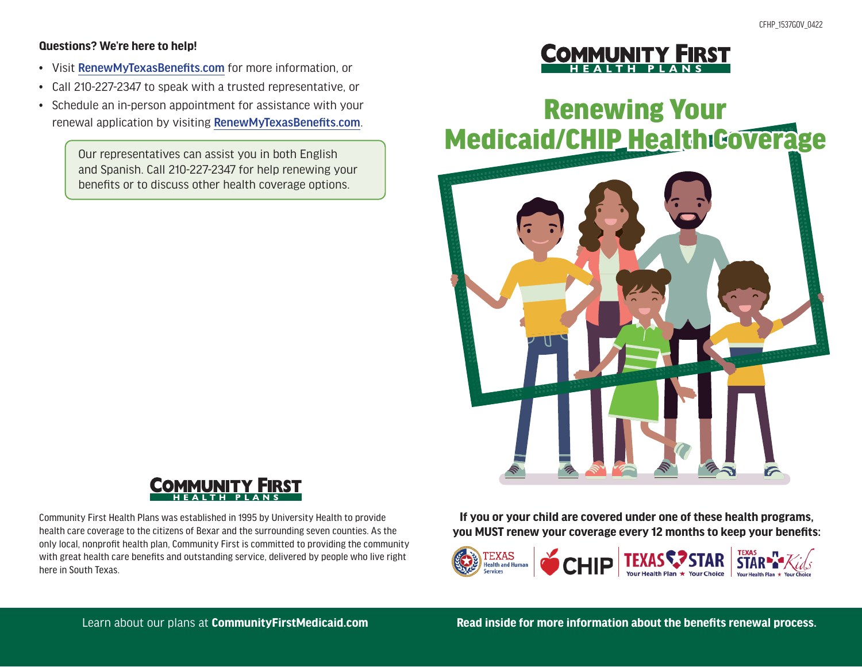#### **Questions? We're here to help!**

- Visit RenewMyTexasBenefits.com for more information, or
- Call 210-227-2347 to speak with a trusted representative, or
- Schedule an in-person appointment for assistance with your renewal application by visiting RenewMyTexasBenefits.com.

Our representatives can assist you in both English and Spanish. Call 210-227-2347 for help renewing your benefits or to discuss other health coverage options.



Community First Health Plans was established in 1995 by University Health to provide health care coverage to the citizens of Bexar and the surrounding seven counties. As the only local, nonprofit health plan, Community First is committed to providing the community with great health care benefits and outstanding service, delivered by people who live right here in South Texas.



# Renewing Your<br>Medicaid/CHIP Health Coverage Renewing Your



**If you or your child are covered under one of these health programs, you MUST renew your coverage every 12 months to keep your benefits:**